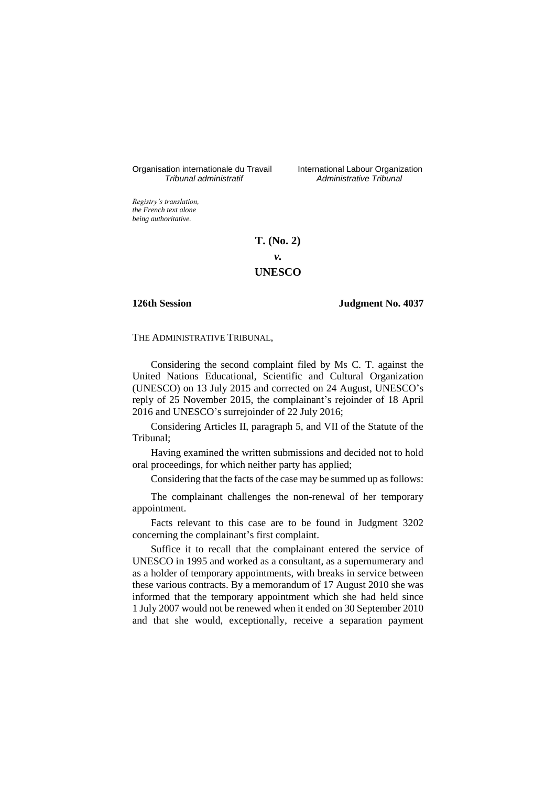Organisation internationale du Travail International Labour Organization<br>*Tribunal administratif Administrative Tribunal* 

*Tribunal administratif Administrative Tribunal*

*Registry's translation, the French text alone being authoritative.*

# **T. (No. 2)**

*v.*

# **UNESCO**

# **126th Session Judgment No. 4037**

THE ADMINISTRATIVE TRIBUNAL,

Considering the second complaint filed by Ms C. T. against the United Nations Educational, Scientific and Cultural Organization (UNESCO) on 13 July 2015 and corrected on 24 August, UNESCO's reply of 25 November 2015, the complainant's rejoinder of 18 April 2016 and UNESCO's surrejoinder of 22 July 2016;

Considering Articles II, paragraph 5, and VII of the Statute of the Tribunal;

Having examined the written submissions and decided not to hold oral proceedings, for which neither party has applied;

Considering that the facts of the case may be summed up as follows:

The complainant challenges the non-renewal of her temporary appointment.

Facts relevant to this case are to be found in Judgment 3202 concerning the complainant's first complaint.

Suffice it to recall that the complainant entered the service of UNESCO in 1995 and worked as a consultant, as a supernumerary and as a holder of temporary appointments, with breaks in service between these various contracts. By a memorandum of 17 August 2010 she was informed that the temporary appointment which she had held since 1 July 2007 would not be renewed when it ended on 30 September 2010 and that she would, exceptionally, receive a separation payment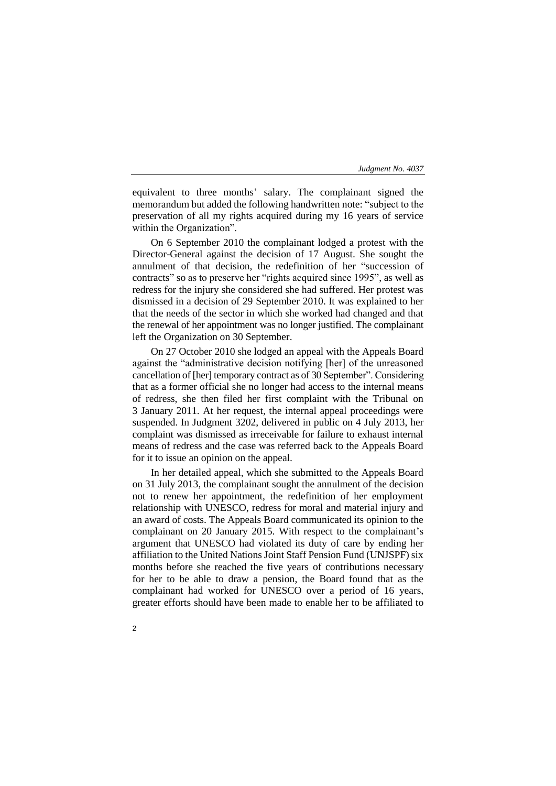equivalent to three months' salary. The complainant signed the memorandum but added the following handwritten note: "subject to the preservation of all my rights acquired during my 16 years of service within the Organization".

On 6 September 2010 the complainant lodged a protest with the Director-General against the decision of 17 August. She sought the annulment of that decision, the redefinition of her "succession of contracts" so as to preserve her "rights acquired since 1995", as well as redress for the injury she considered she had suffered. Her protest was dismissed in a decision of 29 September 2010. It was explained to her that the needs of the sector in which she worked had changed and that the renewal of her appointment was no longer justified. The complainant left the Organization on 30 September.

On 27 October 2010 she lodged an appeal with the Appeals Board against the "administrative decision notifying [her] of the unreasoned cancellation of [her] temporary contract as of 30 September". Considering that as a former official she no longer had access to the internal means of redress, she then filed her first complaint with the Tribunal on 3 January 2011. At her request, the internal appeal proceedings were suspended. In Judgment 3202, delivered in public on 4 July 2013, her complaint was dismissed as irreceivable for failure to exhaust internal means of redress and the case was referred back to the Appeals Board for it to issue an opinion on the appeal.

In her detailed appeal, which she submitted to the Appeals Board on 31 July 2013, the complainant sought the annulment of the decision not to renew her appointment, the redefinition of her employment relationship with UNESCO, redress for moral and material injury and an award of costs. The Appeals Board communicated its opinion to the complainant on 20 January 2015. With respect to the complainant's argument that UNESCO had violated its duty of care by ending her affiliation to the United Nations Joint Staff Pension Fund (UNJSPF) six months before she reached the five years of contributions necessary for her to be able to draw a pension, the Board found that as the complainant had worked for UNESCO over a period of 16 years, greater efforts should have been made to enable her to be affiliated to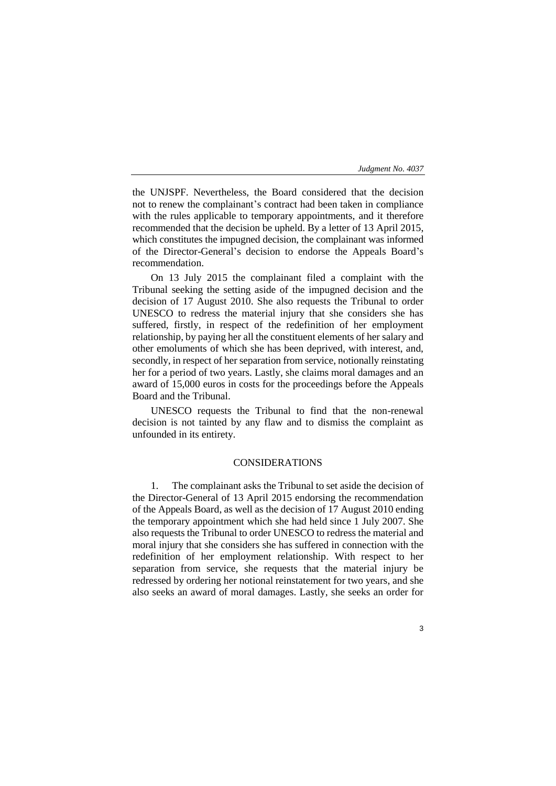the UNJSPF. Nevertheless, the Board considered that the decision not to renew the complainant's contract had been taken in compliance with the rules applicable to temporary appointments, and it therefore recommended that the decision be upheld. By a letter of 13 April 2015, which constitutes the impugned decision, the complainant was informed of the Director-General's decision to endorse the Appeals Board's recommendation.

On 13 July 2015 the complainant filed a complaint with the Tribunal seeking the setting aside of the impugned decision and the decision of 17 August 2010. She also requests the Tribunal to order UNESCO to redress the material injury that she considers she has suffered, firstly, in respect of the redefinition of her employment relationship, by paying her all the constituent elements of her salary and other emoluments of which she has been deprived, with interest, and, secondly, in respect of her separation from service, notionally reinstating her for a period of two years. Lastly, she claims moral damages and an award of 15,000 euros in costs for the proceedings before the Appeals Board and the Tribunal.

UNESCO requests the Tribunal to find that the non-renewal decision is not tainted by any flaw and to dismiss the complaint as unfounded in its entirety.

### CONSIDERATIONS

1. The complainant asks the Tribunal to set aside the decision of the Director-General of 13 April 2015 endorsing the recommendation of the Appeals Board, as well as the decision of 17 August 2010 ending the temporary appointment which she had held since 1 July 2007. She also requests the Tribunal to order UNESCO to redress the material and moral injury that she considers she has suffered in connection with the redefinition of her employment relationship. With respect to her separation from service, she requests that the material injury be redressed by ordering her notional reinstatement for two years, and she also seeks an award of moral damages. Lastly, she seeks an order for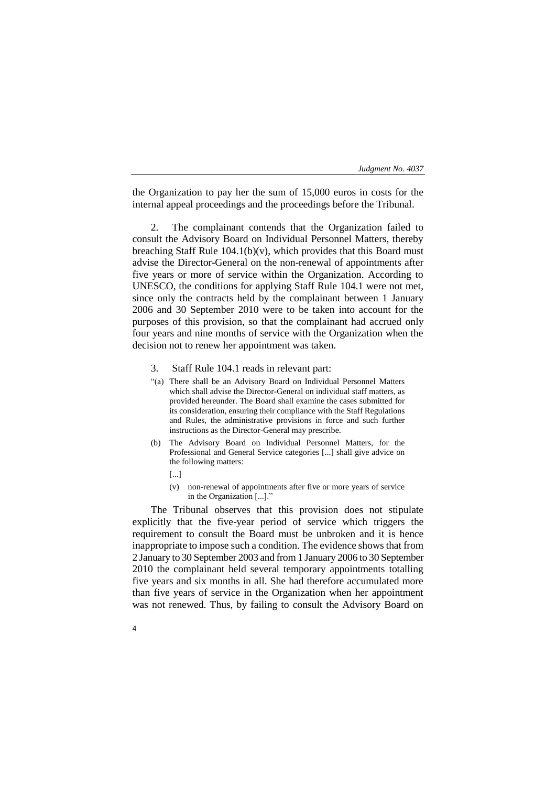the Organization to pay her the sum of 15,000 euros in costs for the internal appeal proceedings and the proceedings before the Tribunal.

The complainant contends that the Organization failed to consult the Advisory Board on Individual Personnel Matters, thereby breaching Staff Rule  $104.1(b)(v)$ , which provides that this Board must advise the Director-General on the non-renewal of appointments after five years or more of service within the Organization. According to UNESCO, the conditions for applying Staff Rule 104.1 were not met, since only the contracts held by the complainant between 1 January 2006 and 30 September 2010 were to be taken into account for the purposes of this provision, so that the complainant had accrued only four years and nine months of service with the Organization when the decision not to renew her appointment was taken.

- 3. Staff Rule 104.1 reads in relevant part:
- "(a) There shall be an Advisory Board on Individual Personnel Matters which shall advise the Director-General on individual staff matters, as provided hereunder. The Board shall examine the cases submitted for its consideration, ensuring their compliance with the Staff Regulations and Rules, the administrative provisions in force and such further instructions as the Director-General may prescribe.
- (b) The Advisory Board on Individual Personnel Matters, for the Professional and General Service categories [...] shall give advice on the following matters:
	- [...]

4

(v) non-renewal of appointments after five or more years of service in the Organization [...]."

The Tribunal observes that this provision does not stipulate explicitly that the five-year period of service which triggers the requirement to consult the Board must be unbroken and it is hence inappropriate to impose such a condition. The evidence shows that from 2 January to 30 September 2003 and from 1 January 2006 to 30 September 2010 the complainant held several temporary appointments totalling five years and six months in all. She had therefore accumulated more than five years of service in the Organization when her appointment was not renewed. Thus, by failing to consult the Advisory Board on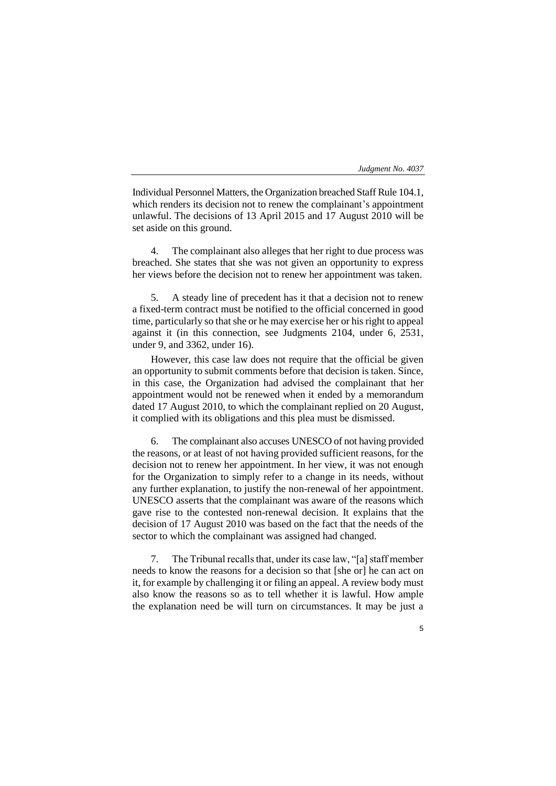5

Individual Personnel Matters, the Organization breached Staff Rule 104.1, which renders its decision not to renew the complainant's appointment unlawful. The decisions of 13 April 2015 and 17 August 2010 will be set aside on this ground.

4. The complainant also alleges that her right to due process was breached. She states that she was not given an opportunity to express her views before the decision not to renew her appointment was taken.

5. A steady line of precedent has it that a decision not to renew a fixed-term contract must be notified to the official concerned in good time, particularly so that she or he may exercise her or his right to appeal against it (in this connection, see Judgments 2104, under 6, 2531, under 9, and 3362, under 16).

However, this case law does not require that the official be given an opportunity to submit comments before that decision is taken. Since, in this case, the Organization had advised the complainant that her appointment would not be renewed when it ended by a memorandum dated 17 August 2010, to which the complainant replied on 20 August, it complied with its obligations and this plea must be dismissed.

6. The complainant also accuses UNESCO of not having provided the reasons, or at least of not having provided sufficient reasons, for the decision not to renew her appointment. In her view, it was not enough for the Organization to simply refer to a change in its needs, without any further explanation, to justify the non-renewal of her appointment. UNESCO asserts that the complainant was aware of the reasons which gave rise to the contested non-renewal decision. It explains that the decision of 17 August 2010 was based on the fact that the needs of the sector to which the complainant was assigned had changed.

7. The Tribunal recalls that, under its case law, "[a] staff member needs to know the reasons for a decision so that [she or] he can act on it, for example by challenging it or filing an appeal. A review body must also know the reasons so as to tell whether it is lawful. How ample the explanation need be will turn on circumstances. It may be just a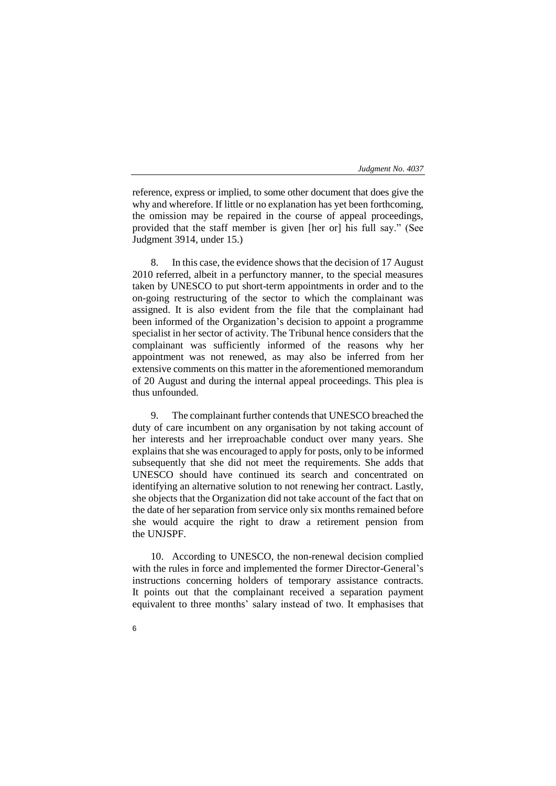reference, express or implied, to some other document that does give the why and wherefore. If little or no explanation has yet been forthcoming, the omission may be repaired in the course of appeal proceedings, provided that the staff member is given [her or] his full say." (See Judgment 3914, under 15.)

8. In this case, the evidence shows that the decision of 17 August 2010 referred, albeit in a perfunctory manner, to the special measures taken by UNESCO to put short-term appointments in order and to the on-going restructuring of the sector to which the complainant was assigned. It is also evident from the file that the complainant had been informed of the Organization's decision to appoint a programme specialist in her sector of activity. The Tribunal hence considers that the complainant was sufficiently informed of the reasons why her appointment was not renewed, as may also be inferred from her extensive comments on this matter in the aforementioned memorandum of 20 August and during the internal appeal proceedings. This plea is thus unfounded.

9. The complainant further contends that UNESCO breached the duty of care incumbent on any organisation by not taking account of her interests and her irreproachable conduct over many years. She explains that she was encouraged to apply for posts, only to be informed subsequently that she did not meet the requirements. She adds that UNESCO should have continued its search and concentrated on identifying an alternative solution to not renewing her contract. Lastly, she objects that the Organization did not take account of the fact that on the date of her separation from service only six months remained before she would acquire the right to draw a retirement pension from the UNJSPF.

10. According to UNESCO, the non-renewal decision complied with the rules in force and implemented the former Director-General's instructions concerning holders of temporary assistance contracts. It points out that the complainant received a separation payment equivalent to three months' salary instead of two. It emphasises that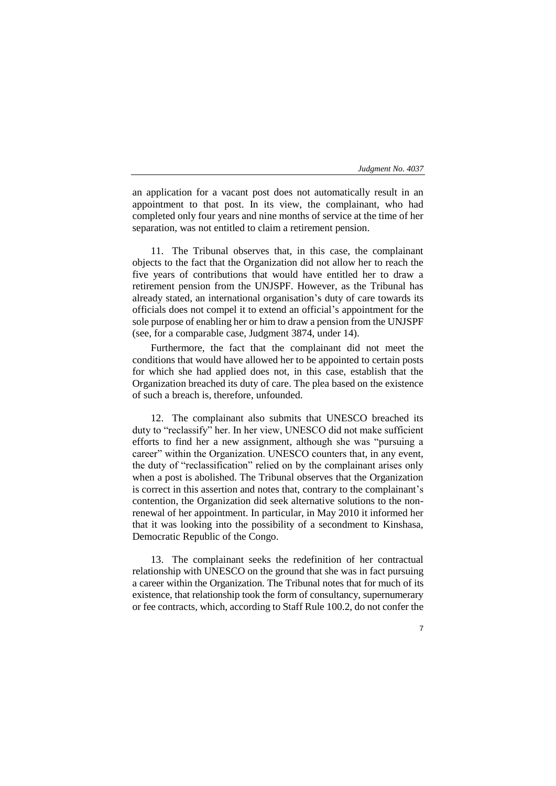an application for a vacant post does not automatically result in an appointment to that post. In its view, the complainant, who had completed only four years and nine months of service at the time of her separation, was not entitled to claim a retirement pension.

11. The Tribunal observes that, in this case, the complainant objects to the fact that the Organization did not allow her to reach the five years of contributions that would have entitled her to draw a retirement pension from the UNJSPF. However, as the Tribunal has already stated, an international organisation's duty of care towards its officials does not compel it to extend an official's appointment for the sole purpose of enabling her or him to draw a pension from the UNJSPF (see, for a comparable case, Judgment 3874, under 14).

Furthermore, the fact that the complainant did not meet the conditions that would have allowed her to be appointed to certain posts for which she had applied does not, in this case, establish that the Organization breached its duty of care. The plea based on the existence of such a breach is, therefore, unfounded.

12. The complainant also submits that UNESCO breached its duty to "reclassify" her. In her view, UNESCO did not make sufficient efforts to find her a new assignment, although she was "pursuing a career" within the Organization. UNESCO counters that, in any event, the duty of "reclassification" relied on by the complainant arises only when a post is abolished. The Tribunal observes that the Organization is correct in this assertion and notes that, contrary to the complainant's contention, the Organization did seek alternative solutions to the nonrenewal of her appointment. In particular, in May 2010 it informed her that it was looking into the possibility of a secondment to Kinshasa, Democratic Republic of the Congo.

13. The complainant seeks the redefinition of her contractual relationship with UNESCO on the ground that she was in fact pursuing a career within the Organization. The Tribunal notes that for much of its existence, that relationship took the form of consultancy, supernumerary or fee contracts, which, according to Staff Rule 100.2, do not confer the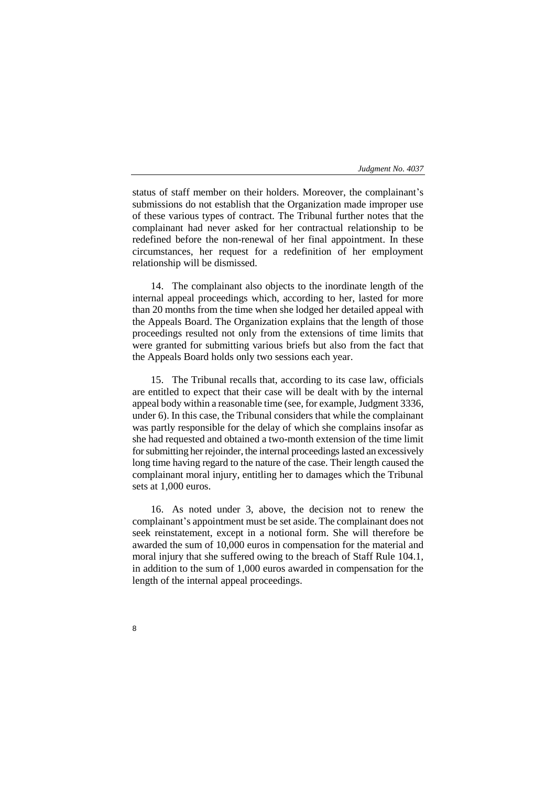status of staff member on their holders. Moreover, the complainant's submissions do not establish that the Organization made improper use of these various types of contract. The Tribunal further notes that the complainant had never asked for her contractual relationship to be redefined before the non-renewal of her final appointment. In these circumstances, her request for a redefinition of her employment relationship will be dismissed.

14. The complainant also objects to the inordinate length of the internal appeal proceedings which, according to her, lasted for more than 20 months from the time when she lodged her detailed appeal with the Appeals Board. The Organization explains that the length of those proceedings resulted not only from the extensions of time limits that were granted for submitting various briefs but also from the fact that the Appeals Board holds only two sessions each year.

15. The Tribunal recalls that, according to its case law, officials are entitled to expect that their case will be dealt with by the internal appeal body within a reasonable time (see, for example, Judgment 3336, under 6). In this case, the Tribunal considers that while the complainant was partly responsible for the delay of which she complains insofar as she had requested and obtained a two-month extension of the time limit for submitting her rejoinder, the internal proceedings lasted an excessively long time having regard to the nature of the case. Their length caused the complainant moral injury, entitling her to damages which the Tribunal sets at 1,000 euros.

16. As noted under 3, above, the decision not to renew the complainant's appointment must be set aside. The complainant does not seek reinstatement, except in a notional form. She will therefore be awarded the sum of 10,000 euros in compensation for the material and moral injury that she suffered owing to the breach of Staff Rule 104.1, in addition to the sum of 1,000 euros awarded in compensation for the length of the internal appeal proceedings.